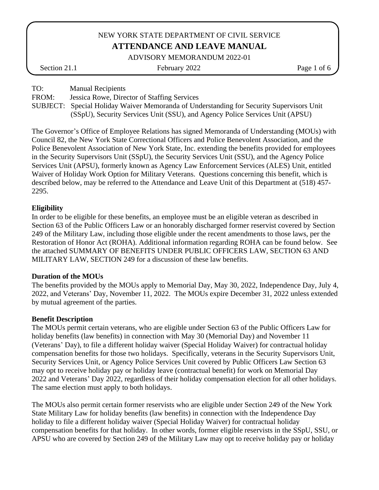ADVISORY MEMORANDUM 2022-01

Section 21.1 February 2022 Page 1 of 6

TO: Manual Recipients

FROM: Jessica Rowe, Director of Staffing Services

SUBJECT: Special Holiday Waiver Memoranda of Understanding for Security Supervisors Unit (SSpU), Security Services Unit (SSU), and Agency Police Services Unit (APSU)

The Governor's Office of Employee Relations has signed Memoranda of Understanding (MOUs) with Council 82, the New York State Correctional Officers and Police Benevolent Association, and the Police Benevolent Association of New York State, Inc. extending the benefits provided for employees in the Security Supervisors Unit (SSpU), the Security Services Unit (SSU), and the Agency Police Services Unit (APSU), formerly known as Agency Law Enforcement Services (ALES) Unit, entitled Waiver of Holiday Work Option for Military Veterans. Questions concerning this benefit, which is described below, may be referred to the Attendance and Leave Unit of this Department at (518) 457- 2295.

# **Eligibility**

In order to be eligible for these benefits, an employee must be an eligible veteran as described in Section 63 of the Public Officers Law or an honorably discharged former reservist covered by Section 249 of the Military Law, including those eligible under the recent amendments to those laws, per the Restoration of Honor Act (ROHA). Additional information regarding ROHA can be found below. See the attached SUMMARY OF BENEFITS UNDER PUBLIC OFFICERS LAW, SECTION 63 AND MILITARY LAW, SECTION 249 for a discussion of these law benefits.

## **Duration of the MOUs**

The benefits provided by the MOUs apply to Memorial Day, May 30, 2022, Independence Day, July 4, 2022, and Veterans' Day, November 11, 2022. The MOUs expire December 31, 2022 unless extended by mutual agreement of the parties.

# **Benefit Description**

The MOUs permit certain veterans, who are eligible under Section 63 of the Public Officers Law for holiday benefits (law benefits) in connection with May 30 (Memorial Day) and November 11 (Veterans' Day), to file a different holiday waiver (Special Holiday Waiver) for contractual holiday compensation benefits for those two holidays. Specifically, veterans in the Security Supervisors Unit, Security Services Unit, or Agency Police Services Unit covered by Public Officers Law Section 63 may opt to receive holiday pay or holiday leave (contractual benefit) for work on Memorial Day 2022 and Veterans' Day 2022, regardless of their holiday compensation election for all other holidays. The same election must apply to both holidays.

The MOUs also permit certain former reservists who are eligible under Section 249 of the New York State Military Law for holiday benefits (law benefits) in connection with the Independence Day holiday to file a different holiday waiver (Special Holiday Waiver) for contractual holiday compensation benefits for that holiday. In other words, former eligible reservists in the SSpU, SSU, or APSU who are covered by Section 249 of the Military Law may opt to receive holiday pay or holiday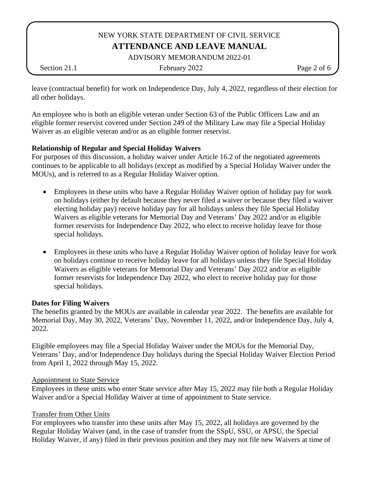ADVISORY MEMORANDUM 2022-01

Section 21.1 February 2022 Page 2 of 6

leave (contractual benefit) for work on Independence Day, July 4, 2022, regardless of their election for all other holidays.

An employee who is both an eligible veteran under Section 63 of the Public Officers Law and an eligible former reservist covered under Section 249 of the Military Law may file a Special Holiday Waiver as an eligible veteran and/or as an eligible former reservist.

# **Relationship of Regular and Special Holiday Waivers**

For purposes of this discussion, a holiday waiver under Article 16.2 of the negotiated agreements continues to be applicable to all holidays (except as modified by a Special Holiday Waiver under the MOUs), and is referred to as a Regular Holiday Waiver option.

- Employees in these units who have a Regular Holiday Waiver option of holiday pay for work on holidays (either by default because they never filed a waiver or because they filed a waiver electing holiday pay) receive holiday pay for all holidays unless they file Special Holiday Waivers as eligible veterans for Memorial Day and Veterans' Day 2022 and/or as eligible former reservists for Independence Day 2022, who elect to receive holiday leave for those special holidays.
- Employees in these units who have a Regular Holiday Waiver option of holiday leave for work on holidays continue to receive holiday leave for all holidays unless they file Special Holiday Waivers as eligible veterans for Memorial Day and Veterans' Day 2022 and/or as eligible former reservists for Independence Day 2022, who elect to receive holiday pay for those special holidays.

## **Dates for Filing Waivers**

The benefits granted by the MOUs are available in calendar year 2022. The benefits are available for Memorial Day, May 30, 2022, Veterans' Day, November 11, 2022, and/or Independence Day, July 4, 2022.

Eligible employees may file a Special Holiday Waiver under the MOUs for the Memorial Day, Veterans' Day, and/or Independence Day holidays during the Special Holiday Waiver Election Period from April 1, 2022 through May 15, 2022.

## Appointment to State Service

Employees in these units who enter State service after May 15, 2022 may file both a Regular Holiday Waiver and/or a Special Holiday Waiver at time of appointment to State service.

## Transfer from Other Units

For employees who transfer into these units after May 15, 2022, all holidays are governed by the Regular Holiday Waiver (and, in the case of transfer from the SSpU, SSU, or APSU, the Special Holiday Waiver, if any) filed in their previous position and they may not file new Waivers at time of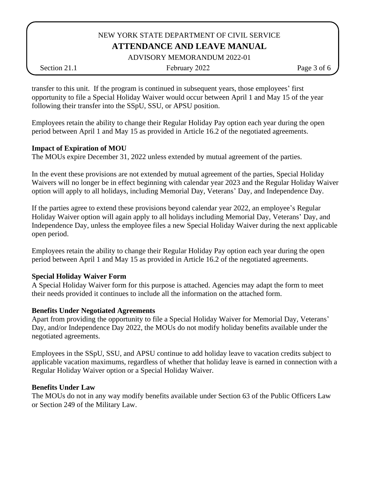ADVISORY MEMORANDUM 2022-01

Section 21.1 February 2022 Page 3 of 6

transfer to this unit. If the program is continued in subsequent years, those employees' first opportunity to file a Special Holiday Waiver would occur between April 1 and May 15 of the year following their transfer into the SSpU, SSU, or APSU position.

Employees retain the ability to change their Regular Holiday Pay option each year during the open period between April 1 and May 15 as provided in Article 16.2 of the negotiated agreements.

# **Impact of Expiration of MOU**

The MOUs expire December 31, 2022 unless extended by mutual agreement of the parties.

In the event these provisions are not extended by mutual agreement of the parties, Special Holiday Waivers will no longer be in effect beginning with calendar year 2023 and the Regular Holiday Waiver option will apply to all holidays, including Memorial Day, Veterans' Day, and Independence Day.

If the parties agree to extend these provisions beyond calendar year 2022, an employee's Regular Holiday Waiver option will again apply to all holidays including Memorial Day, Veterans' Day, and Independence Day, unless the employee files a new Special Holiday Waiver during the next applicable open period.

Employees retain the ability to change their Regular Holiday Pay option each year during the open period between April 1 and May 15 as provided in Article 16.2 of the negotiated agreements.

## **Special Holiday Waiver Form**

A Special Holiday Waiver form for this purpose is attached. Agencies may adapt the form to meet their needs provided it continues to include all the information on the attached form.

## **Benefits Under Negotiated Agreements**

Apart from providing the opportunity to file a Special Holiday Waiver for Memorial Day, Veterans' Day, and/or Independence Day 2022, the MOUs do not modify holiday benefits available under the negotiated agreements.

Employees in the SSpU, SSU, and APSU continue to add holiday leave to vacation credits subject to applicable vacation maximums, regardless of whether that holiday leave is earned in connection with a Regular Holiday Waiver option or a Special Holiday Waiver.

## **Benefits Under Law**

The MOUs do not in any way modify benefits available under Section 63 of the Public Officers Law or Section 249 of the Military Law.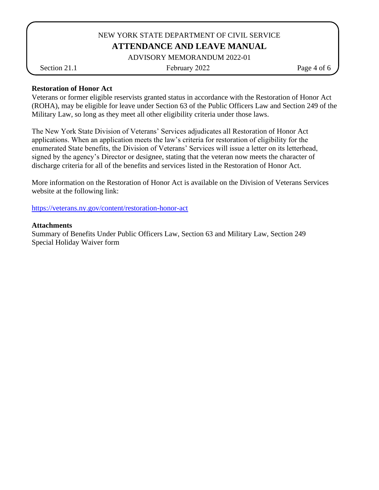#### ADVISORY MEMORANDUM 2022-01

Section 21.1 February 2022 Page 4 of 6

#### **Restoration of Honor Act**

Veterans or former eligible reservists granted status in accordance with the Restoration of Honor Act (ROHA), may be eligible for leave under Section 63 of the Public Officers Law and Section 249 of the Military Law, so long as they meet all other eligibility criteria under those laws.

The New York State Division of Veterans' Services adjudicates all Restoration of Honor Act applications. When an application meets the law's criteria for restoration of eligibility for the enumerated State benefits, the Division of Veterans' Services will issue a letter on its letterhead, signed by the agency's Director or designee, stating that the veteran now meets the character of discharge criteria for all of the benefits and services listed in the Restoration of Honor Act.

More information on the Restoration of Honor Act is available on the Division of Veterans Services website at the following link:

<https://veterans.ny.gov/content/restoration-honor-act>

#### **Attachments**

Summary of Benefits Under Public Officers Law, Section 63 and Military Law, Section 249 Special Holiday Waiver form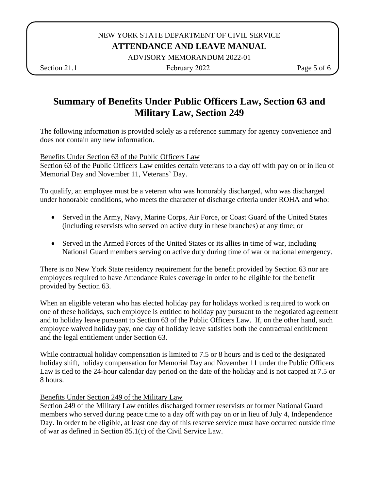ADVISORY MEMORANDUM 2022-01

Section 21.1 **February 2022** Page 5 of 6

# **Summary of Benefits Under Public Officers Law, Section 63 and Military Law, Section 249**

The following information is provided solely as a reference summary for agency convenience and does not contain any new information.

Benefits Under Section 63 of the Public Officers Law

Section 63 of the Public Officers Law entitles certain veterans to a day off with pay on or in lieu of Memorial Day and November 11, Veterans' Day.

To qualify, an employee must be a veteran who was honorably discharged, who was discharged under honorable conditions, who meets the character of discharge criteria under ROHA and who:

- Served in the Army, Navy, Marine Corps, Air Force, or Coast Guard of the United States (including reservists who served on active duty in these branches) at any time; or
- Served in the Armed Forces of the United States or its allies in time of war, including National Guard members serving on active duty during time of war or national emergency.

There is no New York State residency requirement for the benefit provided by Section 63 nor are employees required to have Attendance Rules coverage in order to be eligible for the benefit provided by Section 63.

When an eligible veteran who has elected holiday pay for holidays worked is required to work on one of these holidays, such employee is entitled to holiday pay pursuant to the negotiated agreement and to holiday leave pursuant to Section 63 of the Public Officers Law. If, on the other hand, such employee waived holiday pay, one day of holiday leave satisfies both the contractual entitlement and the legal entitlement under Section 63.

While contractual holiday compensation is limited to 7.5 or 8 hours and is tied to the designated holiday shift, holiday compensation for Memorial Day and November 11 under the Public Officers Law is tied to the 24-hour calendar day period on the date of the holiday and is not capped at 7.5 or 8 hours.

## Benefits Under Section 249 of the Military Law

Section 249 of the Military Law entitles discharged former reservists or former National Guard members who served during peace time to a day off with pay on or in lieu of July 4, Independence Day. In order to be eligible, at least one day of this reserve service must have occurred outside time of war as defined in Section 85.1(c) of the Civil Service Law.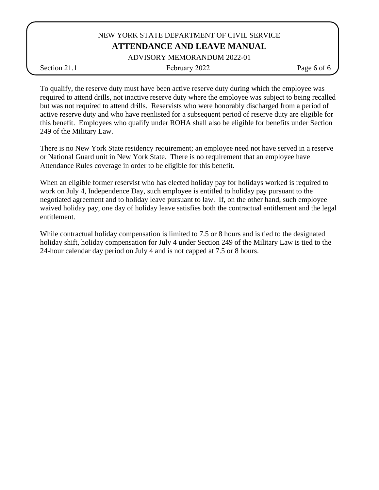#### ADVISORY MEMORANDUM 2022-01

Section 21.1 February 2022 Page 6 of 6

To qualify, the reserve duty must have been active reserve duty during which the employee was required to attend drills, not inactive reserve duty where the employee was subject to being recalled but was not required to attend drills. Reservists who were honorably discharged from a period of active reserve duty and who have reenlisted for a subsequent period of reserve duty are eligible for this benefit. Employees who qualify under ROHA shall also be eligible for benefits under Section 249 of the Military Law.

There is no New York State residency requirement; an employee need not have served in a reserve or National Guard unit in New York State. There is no requirement that an employee have Attendance Rules coverage in order to be eligible for this benefit.

When an eligible former reservist who has elected holiday pay for holidays worked is required to work on July 4, Independence Day, such employee is entitled to holiday pay pursuant to the negotiated agreement and to holiday leave pursuant to law. If, on the other hand, such employee waived holiday pay, one day of holiday leave satisfies both the contractual entitlement and the legal entitlement.

While contractual holiday compensation is limited to 7.5 or 8 hours and is tied to the designated holiday shift, holiday compensation for July 4 under Section 249 of the Military Law is tied to the 24-hour calendar day period on July 4 and is not capped at 7.5 or 8 hours.